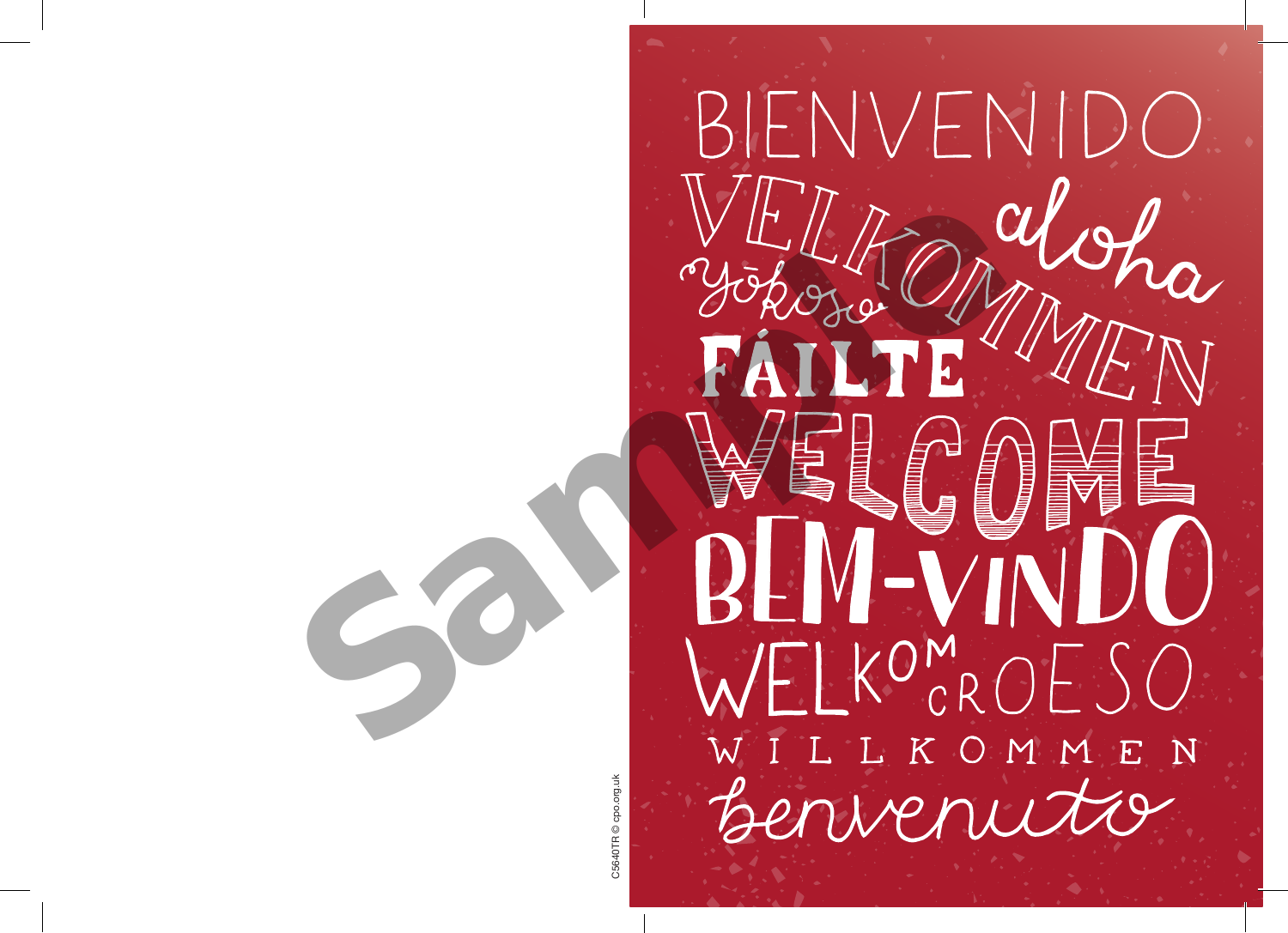